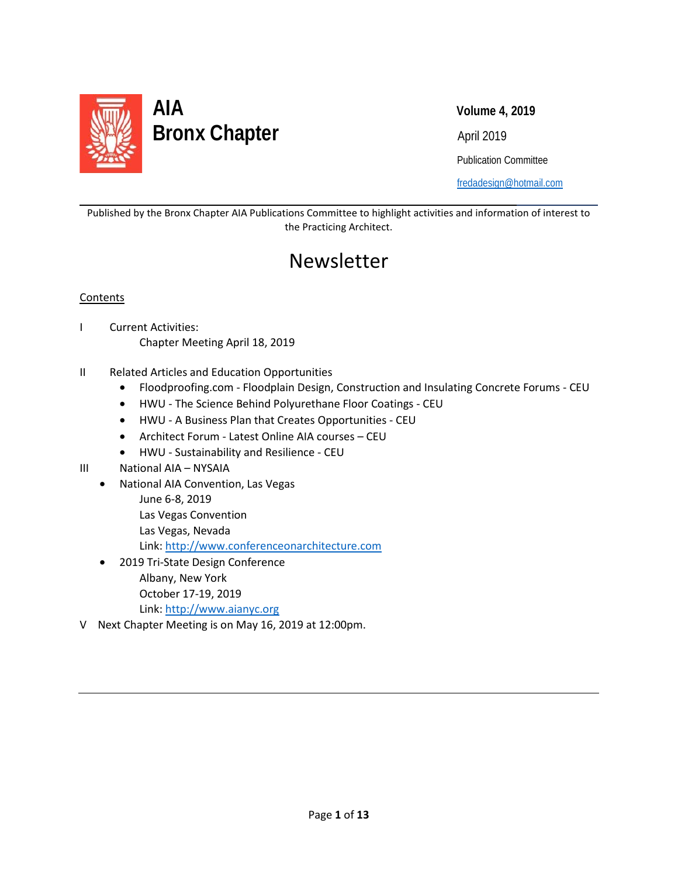

Publication Committee

[fredadesign@hotmail.com](mailto:fredadesign@hotmail.com)

Published by the Bronx Chapter AIA Publications Committee to highlight activities and information of interest to the Practicing Architect.

# Newsletter

#### **Contents**

l

- I Current Activities: Chapter Meeting April 18, 2019
- II Related Articles and Education Opportunities
	- Floodproofing.com Floodplain Design, Construction and Insulating Concrete Forums CEU
	- HWU The Science Behind Polyurethane Floor Coatings CEU
	- HWU A Business Plan that Creates Opportunities CEU
	- Architect Forum Latest Online AIA courses CEU
	- HWU Sustainability and Resilience CEU
- III National AIA NYSAIA
	- National AIA Convention, Las Vegas
		- June 6-8, 2019
		- Las Vegas Convention
		- Las Vegas, Nevada

Link: [http://www.conferenceonarchitecture.com](http://www.conferenceonarchitecture.com/)

- 2019 Tri-State Design Conference Albany, New York October 17-19, 2019 Link: [http://www.aianyc.org](http://www.aianyc.org/)
- V Next Chapter Meeting is on May 16, 2019 at 12:00pm.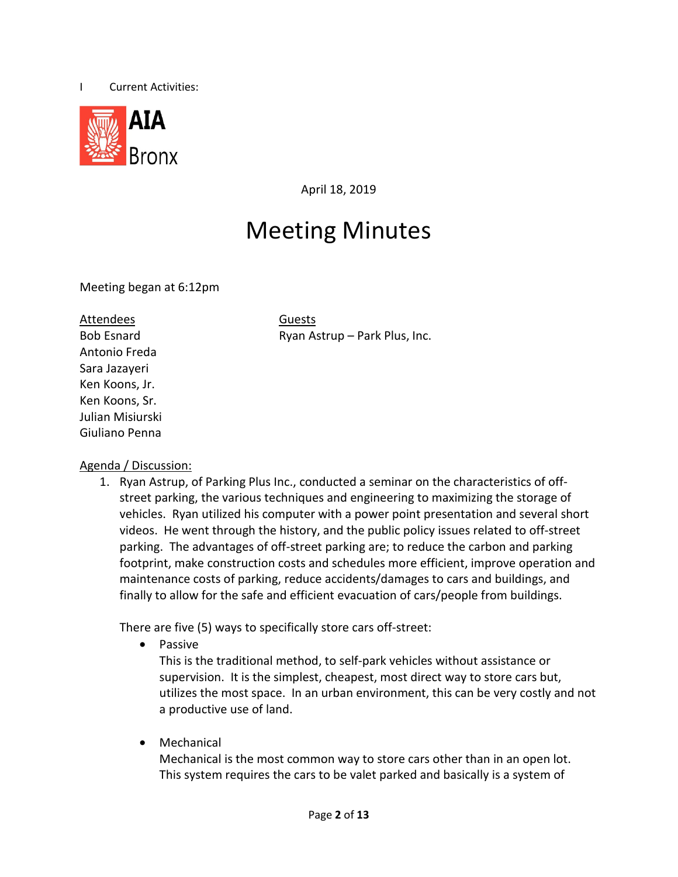



April 18, 2019

# Meeting Minutes

Meeting began at 6:12pm

Attendees Guests Antonio Freda Sara Jazayeri Ken Koons, Jr. Ken Koons, Sr. Julian Misiurski Giuliano Penna

Bob Esnard **Ryan Astrup – Park Plus, Inc.** 

### Agenda / Discussion:

1. Ryan Astrup, of Parking Plus Inc., conducted a seminar on the characteristics of offstreet parking, the various techniques and engineering to maximizing the storage of vehicles. Ryan utilized his computer with a power point presentation and several short videos. He went through the history, and the public policy issues related to off-street parking. The advantages of off-street parking are; to reduce the carbon and parking footprint, make construction costs and schedules more efficient, improve operation and maintenance costs of parking, reduce accidents/damages to cars and buildings, and finally to allow for the safe and efficient evacuation of cars/people from buildings.

There are five (5) ways to specifically store cars off-street:

• Passive

This is the traditional method, to self-park vehicles without assistance or supervision. It is the simplest, cheapest, most direct way to store cars but, utilizes the most space. In an urban environment, this can be very costly and not a productive use of land.

• Mechanical

Mechanical is the most common way to store cars other than in an open lot. This system requires the cars to be valet parked and basically is a system of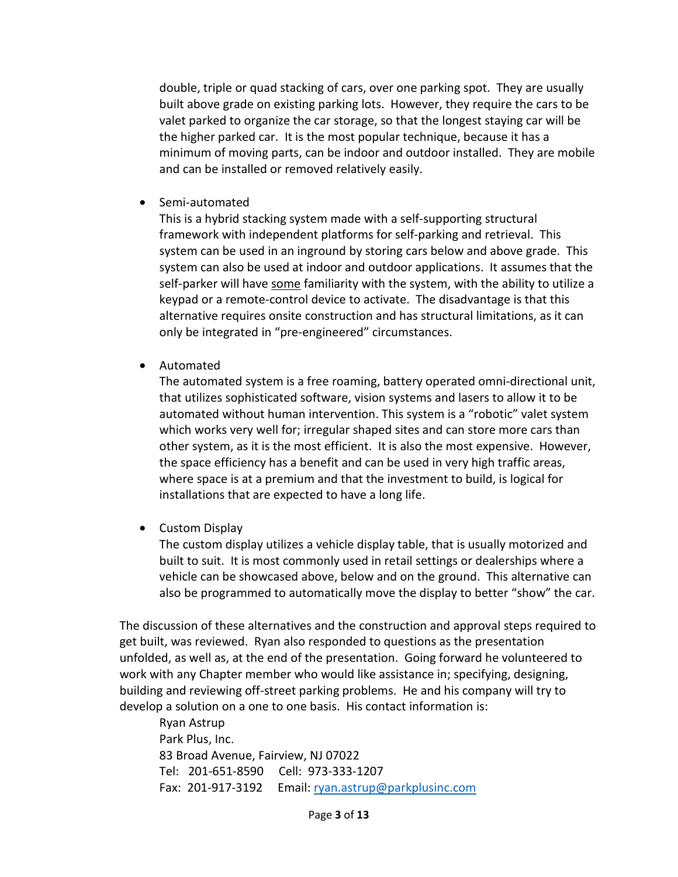double, triple or quad stacking of cars, over one parking spot. They are usually built above grade on existing parking lots. However, they require the cars to be valet parked to organize the car storage, so that the longest staying car will be the higher parked car. It is the most popular technique, because it has a minimum of moving parts, can be indoor and outdoor installed. They are mobile and can be installed or removed relatively easily.

• Semi-automated

This is a hybrid stacking system made with a self-supporting structural framework with independent platforms for self-parking and retrieval. This system can be used in an inground by storing cars below and above grade. This system can also be used at indoor and outdoor applications. It assumes that the self-parker will have some familiarity with the system, with the ability to utilize a keypad or a remote-control device to activate. The disadvantage is that this alternative requires onsite construction and has structural limitations, as it can only be integrated in "pre-engineered" circumstances.

• Automated

The automated system is a free roaming, battery operated omni-directional unit, that utilizes sophisticated software, vision systems and lasers to allow it to be automated without human intervention. This system is a "robotic" valet system which works very well for; irregular shaped sites and can store more cars than other system, as it is the most efficient. It is also the most expensive. However, the space efficiency has a benefit and can be used in very high traffic areas, where space is at a premium and that the investment to build, is logical for installations that are expected to have a long life.

• Custom Display

The custom display utilizes a vehicle display table, that is usually motorized and built to suit. It is most commonly used in retail settings or dealerships where a vehicle can be showcased above, below and on the ground. This alternative can also be programmed to automatically move the display to better "show" the car.

The discussion of these alternatives and the construction and approval steps required to get built, was reviewed. Ryan also responded to questions as the presentation unfolded, as well as, at the end of the presentation. Going forward he volunteered to work with any Chapter member who would like assistance in; specifying, designing, building and reviewing off-street parking problems. He and his company will try to develop a solution on a one to one basis. His contact information is:

Ryan Astrup Park Plus, Inc. 83 Broad Avenue, Fairview, NJ 07022 Tel: 201-651-8590 Cell: 973-333-1207 Fax: 201-917-3192 Email: [ryan.astrup@parkplusinc.com](mailto:ryan.astrup@parkplusinc.com)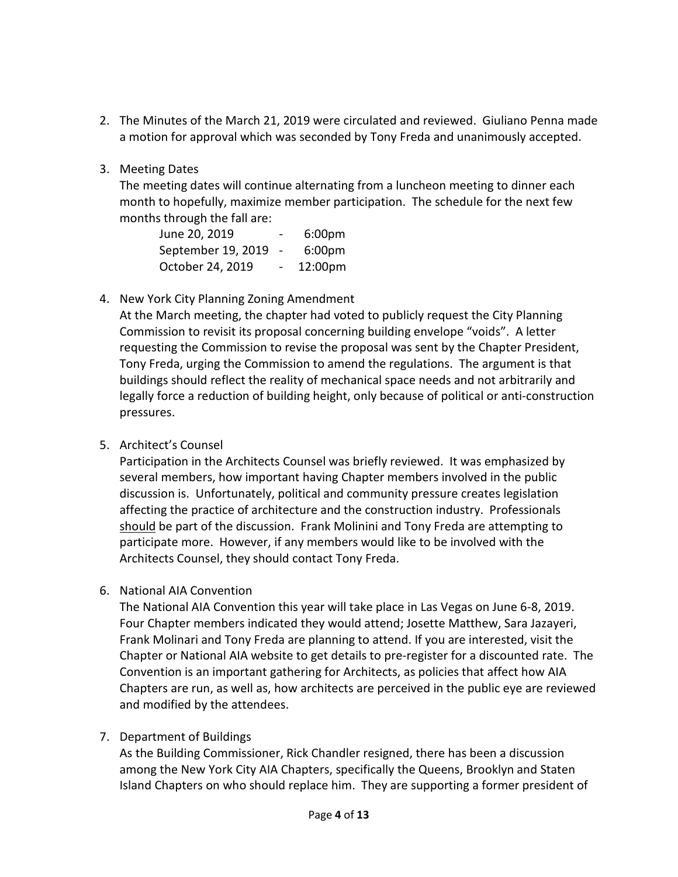- 2. The Minutes of the March 21, 2019 were circulated and reviewed. Giuliano Penna made a motion for approval which was seconded by Tony Freda and unanimously accepted.
- 3. Meeting Dates

The meeting dates will continue alternating from a luncheon meeting to dinner each month to hopefully, maximize member participation. The schedule for the next few months through the fall are:

| June 20, 2019      |    | 6:00 <sub>pm</sub> |
|--------------------|----|--------------------|
| September 19, 2019 |    | 6:00 <sub>pm</sub> |
| October 24, 2019   | Ξ. | 12:00pm            |

4. New York City Planning Zoning Amendment

At the March meeting, the chapter had voted to publicly request the City Planning Commission to revisit its proposal concerning building envelope "voids". A letter requesting the Commission to revise the proposal was sent by the Chapter President, Tony Freda, urging the Commission to amend the regulations. The argument is that buildings should reflect the reality of mechanical space needs and not arbitrarily and legally force a reduction of building height, only because of political or anti-construction pressures.

5. Architect's Counsel

Participation in the Architects Counsel was briefly reviewed. It was emphasized by several members, how important having Chapter members involved in the public discussion is. Unfortunately, political and community pressure creates legislation affecting the practice of architecture and the construction industry. Professionals should be part of the discussion. Frank Molinini and Tony Freda are attempting to participate more. However, if any members would like to be involved with the Architects Counsel, they should contact Tony Freda.

6. National AIA Convention

The National AIA Convention this year will take place in Las Vegas on June 6-8, 2019. Four Chapter members indicated they would attend; Josette Matthew, Sara Jazayeri, Frank Molinari and Tony Freda are planning to attend. If you are interested, visit the Chapter or National AIA website to get details to pre-register for a discounted rate. The Convention is an important gathering for Architects, as policies that affect how AIA Chapters are run, as well as, how architects are perceived in the public eye are reviewed and modified by the attendees.

7. Department of Buildings

As the Building Commissioner, Rick Chandler resigned, there has been a discussion among the New York City AIA Chapters, specifically the Queens, Brooklyn and Staten Island Chapters on who should replace him. They are supporting a former president of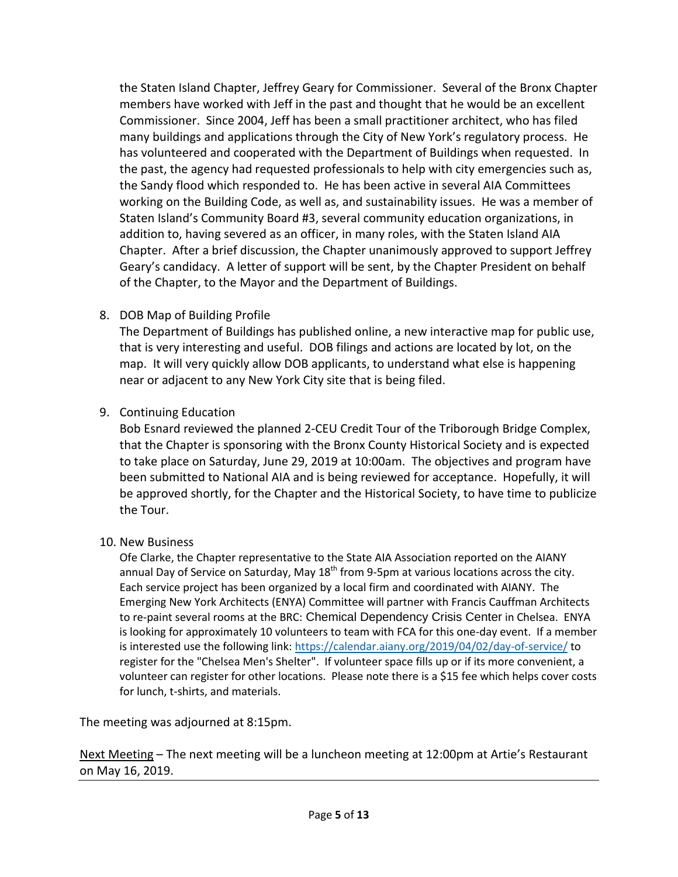the Staten Island Chapter, Jeffrey Geary for Commissioner. Several of the Bronx Chapter members have worked with Jeff in the past and thought that he would be an excellent Commissioner. Since 2004, Jeff has been a small practitioner architect, who has filed many buildings and applications through the City of New York's regulatory process. He has volunteered and cooperated with the Department of Buildings when requested. In the past, the agency had requested professionals to help with city emergencies such as, the Sandy flood which responded to. He has been active in several AIA Committees working on the Building Code, as well as, and sustainability issues. He was a member of Staten Island's Community Board #3, several community education organizations, in addition to, having severed as an officer, in many roles, with the Staten Island AIA Chapter. After a brief discussion, the Chapter unanimously approved to support Jeffrey Geary's candidacy. A letter of support will be sent, by the Chapter President on behalf of the Chapter, to the Mayor and the Department of Buildings.

8. DOB Map of Building Profile

The Department of Buildings has published online, a new interactive map for public use, that is very interesting and useful. DOB filings and actions are located by lot, on the map. It will very quickly allow DOB applicants, to understand what else is happening near or adjacent to any New York City site that is being filed.

9. Continuing Education

Bob Esnard reviewed the planned 2-CEU Credit Tour of the Triborough Bridge Complex, that the Chapter is sponsoring with the Bronx County Historical Society and is expected to take place on Saturday, June 29, 2019 at 10:00am. The objectives and program have been submitted to National AIA and is being reviewed for acceptance. Hopefully, it will be approved shortly, for the Chapter and the Historical Society, to have time to publicize the Tour.

10. New Business

Ofe Clarke, the Chapter representative to the State AIA Association reported on the AIANY annual Day of Service on Saturday, May  $18<sup>th</sup>$  from 9-5pm at various locations across the city. Each service project has been organized by a local firm and coordinated with AIANY. The Emerging New York Architects (ENYA) Committee will partner with Francis Cauffman Architects to re-paint several rooms at the BRC: Chemical Dependency Crisis Center in Chelsea. ENYA is looking for approximately 10 volunteers to team with FCA for this one-day event. If a member is interested use the following link: [https://calendar.aiany.org/2019/04/02/day-of-service/](https://linkprotect.cudasvc.com/url?a=https%3a%2f%2fcalendar.aiany.org%2f2019%2f04%2f02%2fday-of-service%2f&c=E,1,celXkgQmh3QSVGJf0uosNl0tKyrtI5jd2i91mnXkIDLnSMuIDbXmLcaOvS6VS_WzDlC0DtujSo1ziOCL2DeQQQi2HK52cY5FJpzemDVk&typo=1) to register for the "Chelsea Men's Shelter". If volunteer space fills up or if its more convenient, a volunteer can register for other locations. Please note there is a \$15 fee which helps cover costs for lunch, t-shirts, and materials.

The meeting was adjourned at 8:15pm.

Next Meeting – The next meeting will be a luncheon meeting at 12:00pm at Artie's Restaurant on May 16, 2019.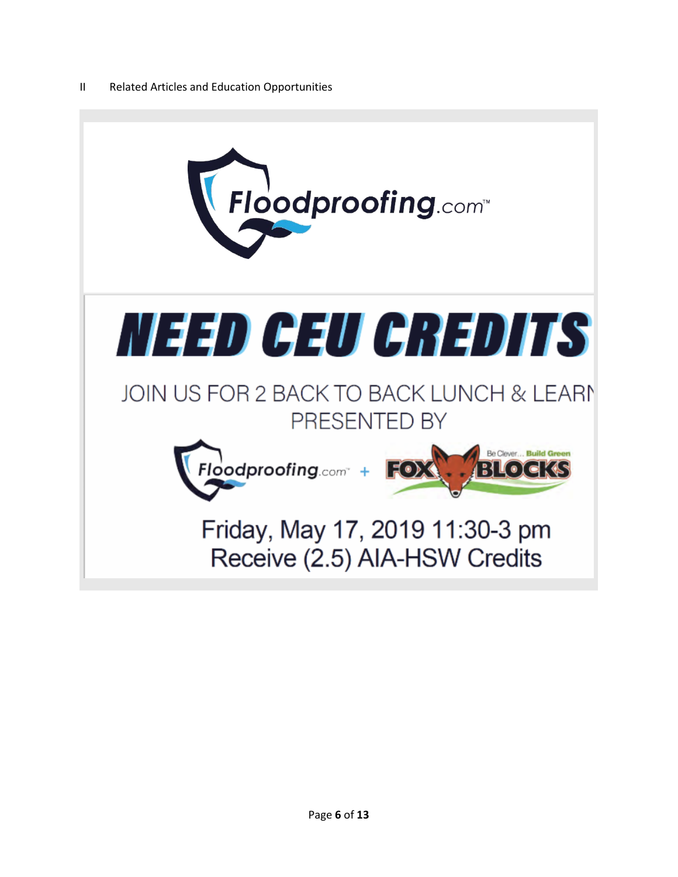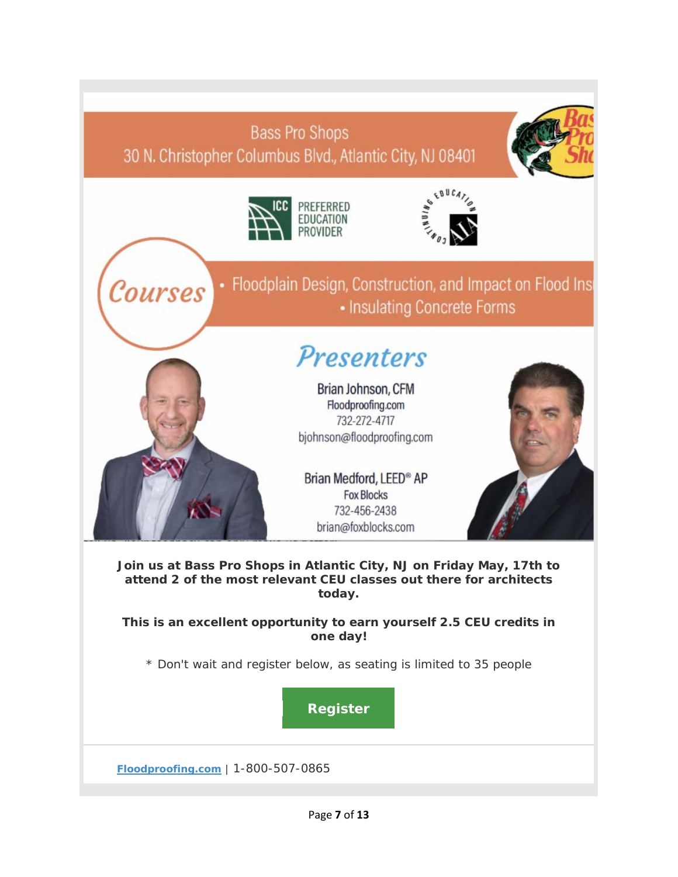## **Bass Pro Shops** 30 N. Christopher Columbus Blvd., Atlantic City, NJ 08401





Courses



• Floodplain Design, Construction, and Impact on Flood Ins • Insulating Concrete Forms

# Presenters

Brian Johnson, CFM Floodproofing.com 732-272-4717 bjohnson@floodproofing.com

Brian Medford, LEED® AP **Fox Blocks** 732-456-2438 brian@foxblocks.com



**Join us at Bass Pro Shops in Atlantic City, NJ on Friday May, 17th to attend 2 of the most relevant CEU classes out there for architects today.** 

**This is an excellent opportunity to earn yourself 2.5 CEU credits in one day!**

*\* Don't wait and register below, as seating is limited to 35 people*

**[Register](http://r20.rs6.net/tn.jsp?f=001bSeWbKc078hgbO6OTxe1nY-TAKIvXHn1KvHYDUQ7Ad2kTfxD2yzj34cdUxUZB-AvpUtHxbe3r4UqmoLav5H0AjLw_XcxxNPRlh8TH7K75MseWRULWnB3aBZVo-GlcSHp7QgmIrfTaoE4JuXgFAu0Fc25VoZbb-cSE6coLrC4_ry7Uegz6UFBrd9K0R4klwmrC2PK4oTJQ25e7VOMkfk9o2OB-bQ427n74bGxuprftqrbGYlJt43eew==&c=R1SSeVmk-hQgK8WbjIbOtmC7IBc5fu43RmrNNjTxT-cTp6L35iavlA==&ch=V5PYc0or3cAynT54I-e2LgFiemL4oIf17kxTADoUq5ls5AOMmN4MKA==)**

**[Floodproofing.com](http://r20.rs6.net/tn.jsp?f=001bSeWbKc078hgbO6OTxe1nY-TAKIvXHn1KvHYDUQ7Ad2kTfxD2yzj3_ZjDSwq-TUdrVccyI64A6EFmAnyM_5em1z7IiMlvtHcE2uxR3vP9JF6MUrTqHLoMAx_wotM3Af4knREHKysFlaTEeeto2ijew==&c=R1SSeVmk-hQgK8WbjIbOtmC7IBc5fu43RmrNNjTxT-cTp6L35iavlA==&ch=V5PYc0or3cAynT54I-e2LgFiemL4oIf17kxTADoUq5ls5AOMmN4MKA==)** | 1-800-507-0865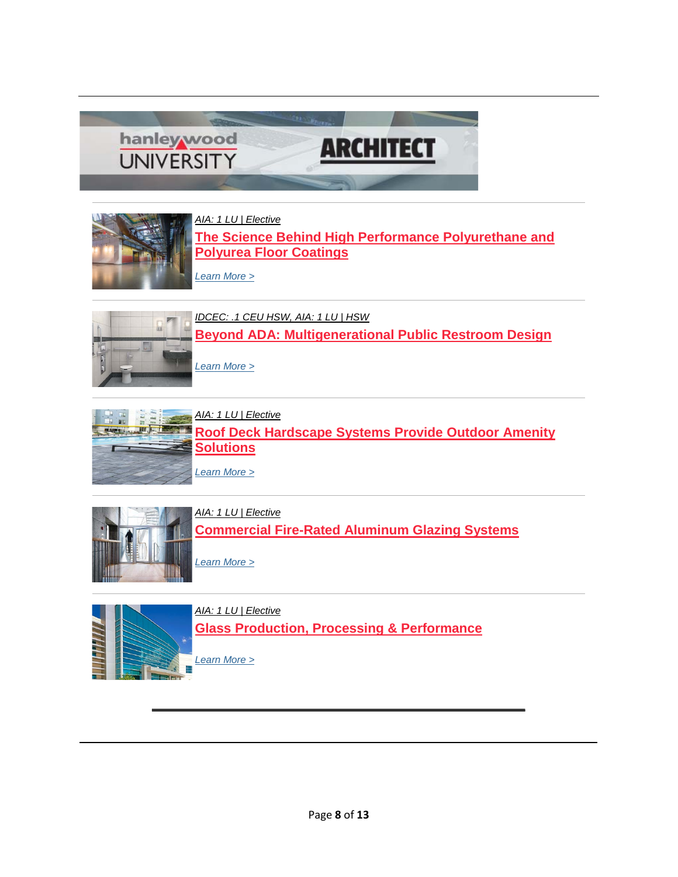



*[AIA: 1 LU | Elective](https://linkprotect.cudasvc.com/url?a=http%3a%2f%2fclick1.communication.hanleywood.com%2fdtpldhzjtpmfsmrhfrkmhfzmmzfmpsrlbtctwbdhjmsc_lgnjkqzrmjjnzjnqzz.html%3fa%3dbesnard%2540dzco.com%26b%3dHWU_EBMGHWUN721155_Update_Newsletter_042319%2b%255BCombo%2b%25231%255D&c=E,1,Wp1kTw-KqIOsyMegWHbXC6LmgeA-JrYoSQl1cEoT_EoImO0zyNrIKhhBtT0_xdw-hLyj98nKBfZnT62f54-JUz2YVhkeXdy5glfoqXVDeFQCJ_bBdeMk1NBtqqY,&typo=1)* **[The Science Behind High Performance Polyurethane and](https://linkprotect.cudasvc.com/url?a=http%3a%2f%2fclick1.communication.hanleywood.com%2fkllbdmwplhsjfsrmjrksmjwsswjshfrbzlvlqzdmpsfs_lgnjkqzrmjjnzjnqzz.html%3fa%3dbesnard%2540dzco.com%26b%3dHWU_EBMGHWUN721155_Update_Newsletter_042319%2b%255BCombo%2b%25231%255D&c=E,1,SmquM1mkefwv976vw5YHIkJRKftuGn6Sbn1w6UvOH2j36Vk-VwES6yk2SqzhXti0BUSAgGvFHjASPimT9B5AX96HweD-1eiAIiJd1xZHXw,,&typo=1)  [Polyurea Floor Coatings](https://linkprotect.cudasvc.com/url?a=http%3a%2f%2fclick1.communication.hanleywood.com%2fkllbdmwplhsjfsrmjrksmjwsswjshfrbzlvlqzdmpsfs_lgnjkqzrmjjnzjnqzz.html%3fa%3dbesnard%2540dzco.com%26b%3dHWU_EBMGHWUN721155_Update_Newsletter_042319%2b%255BCombo%2b%25231%255D&c=E,1,SmquM1mkefwv976vw5YHIkJRKftuGn6Sbn1w6UvOH2j36Vk-VwES6yk2SqzhXti0BUSAgGvFHjASPimT9B5AX96HweD-1eiAIiJd1xZHXw,,&typo=1)**

*[Learn More >](https://linkprotect.cudasvc.com/url?a=http%3a%2f%2fclick1.communication.hanleywood.com%2ffdqcghtydsnwrnbhwbznhwtnntwnsrbcpdjdlpghynrg_lgnjkqzrmjjnzjnqzz.html%3fa%3dbesnard%2540dzco.com%26b%3dHWU_EBMGHWUN721155_Update_Newsletter_042319%2b%255BCombo%2b%25231%255D&c=E,1,27McupgtHRx8ydImO0ZMlTScRQqBy4Ex76VsNT8gMF-z0LEYlnKyXpm6zbGiCwwOZav6Hyl7aNxlq3esGMl0IQ9KAp1mQWIwqym1uvqjoYWFGyG_DksL7u3r&typo=1)*



*[IDCEC: .1 CEU HSW, AIA: 1 LU | HSW](https://linkprotect.cudasvc.com/url?a=http%3a%2f%2fclick1.communication.hanleywood.com%2fymcpbqyvslgncgfqnfrgqnyggynglcfpwskstwbqvgcv_lgnjkqzrmjjnzjnqzz.html%3fa%3dbesnard%2540dzco.com%26b%3dHWU_EBMGHWUN721155_Update_Newsletter_042319%2b%255BCombo%2b%25231%255D&c=E,1,X2XbGaVq5avxlja9m7xDu5p8IUz5Sp2auc4oAghC9J-I3HpcaqK6NvDCpc0Y45WJ_DqKHWRYMdAtFm3Yh3foR41i19btEtCO545q_YPQ9g3bFeU,&typo=1)* **[Beyond ADA: Multigenerational Public Restroom Design](https://linkprotect.cudasvc.com/url?a=http%3a%2f%2fclick1.communication.hanleywood.com%2fzdlgwpvfrmlkdlbpkbjlpkvllvklmdbgcrsrqcwpflfz_lgnjkqzrmjjnzjnqzz.html%3fa%3dbesnard%2540dzco.com%26b%3dHWU_EBMGHWUN721155_Update_Newsletter_042319%2b%255BCombo%2b%25231%255D&c=E,1,4QV5FGroG_pWXYm77xhn32reanwkdLfhPwO8Y8LSLi4OidU_8rPkkM-GU833BXJFiavYvcPJeVZWHTY6oNtEZqhzXnakhm_KvxX6E5y3QW99af4Y&typo=1)**

*[Learn More >](https://linkprotect.cudasvc.com/url?a=http%3a%2f%2fclick1.communication.hanleywood.com%2fqhgjpsydmwfthfvstvqfstyffytfwhvjcmgmrcpsdfdm_lgnjkqzrmjjnzjnqzz.html%3fa%3dbesnard%2540dzco.com%26b%3dHWU_EBMGHWUN721155_Update_Newsletter_042319%2b%255BCombo%2b%25231%255D&c=E,1,9lf3ZP3GT2rgYTiBEFiC-3R2L5ZjW04CXbyp-DZtur6-b7ec4ISGOUBsw1-gncf1cKr9Mnh7GSaNdNI3cEL9_iDEEgvGsaVbXWXmnJNiSRHaQee4ySlKrA,,&typo=1)*



*[AIA: 1 LU | Elective](https://linkprotect.cudasvc.com/url?a=http%3a%2f%2fclick1.communication.hanleywood.com%2fasdvtdrlmkpnspydnyzpdnrpprnpksyvcmhmgctdlpld_lgnjkqzrmjjnzjnqzz.html%3fa%3dbesnard%2540dzco.com%26b%3dHWU_EBMGHWUN721155_Update_Newsletter_042319%2b%255BCombo%2b%25231%255D&c=E,1,e4Bmqhc6xYF5hFGqtf2RNlm1w4pCwMTp_y6-gAgtHd7dXMtVu7t5lv2oxJp1Y1b67rUDVtBmROHkbZdMadPvpbbm8um_wlTB8D8_NXJkR37ruroVzXPk1lypRP0,&typo=1)* **[Roof Deck Hardscape Systems Provide Outdoor Amenity](https://linkprotect.cudasvc.com/url?a=http%3a%2f%2fclick1.communication.hanleywood.com%2fpdqrcjwvhqlbdlyjbytljbwllwblqdyrghmhkgcjvlvy_lgnjkqzrmjjnzjnqzz.html%3fa%3dbesnard%2540dzco.com%26b%3dHWU_EBMGHWUN721155_Update_Newsletter_042319%2b%255BCombo%2b%25231%255D&c=E,1,zVigBVBNgM72Byk63GcvS8j3rxdoIQiXM7bMqg5iW4cuSIn4XDgnEs9OmnIc-9ysMQYL4PMCP8SIExGl7I_v6t4Gl6Tc8RLqzy-rQMHCcKVHDB80YTnjqPp9&typo=1)  [Solutions](https://linkprotect.cudasvc.com/url?a=http%3a%2f%2fclick1.communication.hanleywood.com%2fpdqrcjwvhqlbdlyjbytljbwllwblqdyrghmhkgcjvlvy_lgnjkqzrmjjnzjnqzz.html%3fa%3dbesnard%2540dzco.com%26b%3dHWU_EBMGHWUN721155_Update_Newsletter_042319%2b%255BCombo%2b%25231%255D&c=E,1,zVigBVBNgM72Byk63GcvS8j3rxdoIQiXM7bMqg5iW4cuSIn4XDgnEs9OmnIc-9ysMQYL4PMCP8SIExGl7I_v6t4Gl6Tc8RLqzy-rQMHCcKVHDB80YTnjqPp9&typo=1)**

*[Learn More >](https://linkprotect.cudasvc.com/url?a=http%3a%2f%2fclick1.communication.hanleywood.com%2fizytnvpcyhdwzdbvwbkdvwpddpwdhzbtrymyqrnvcdcm_lgnjkqzrmjjnzjnqzz.html%3fa%3dbesnard%2540dzco.com%26b%3dHWU_EBMGHWUN721155_Update_Newsletter_042319%2b%255BCombo%2b%25231%255D&c=E,1,AwFOXyDvOWB8rSRuPkIuO7iZEMRrSKeMaCcH-g8k3_SgvU6NIkhgsETLJ4-C-Ux8DmMseiloanbHa_DzN6ZUZsMXHXrETqSOlk2cmalKCGZj3AI,&typo=1)*





*[AIA: 1 LU | Elective](https://linkprotect.cudasvc.com/url?a=http%3a%2f%2fclick1.communication.hanleywood.com%2fofjcrjsqtzldmlkjdkgljdsllsdlzmkcptwtnprjqrft_lgnjkqzrmjjnzjnqzz.html%3fa%3dbesnard%2540dzco.com%26b%3dHWU_EBMGHWUN721155_Update_Newsletter_042319%2b%255BCombo%2b%25231%255D&c=E,1,k1v2kwLu-KtJ9mGujZFRFqNfSPPrEBQAeuhYSm7am5eHzbWoJyn1jsNxHE2qyEpMus8vMpmxsfqbcOMUlfA_t51rThbbBWdSaHHTvAMd3E-vtNiBn82x-qBx&typo=1)* **[Glass Production, Processing & Performance](https://linkprotect.cudasvc.com/url?a=http%3a%2f%2fclick1.communication.hanleywood.com%2ffqscghtydsnwrnbhwbznhwtnntwnsrbcpdjdlpghygqs_lgnjkqzrmjjnzjnqzz.html%3fa%3dbesnard%2540dzco.com%26b%3dHWU_EBMGHWUN721155_Update_Newsletter_042319%2b%255BCombo%2b%25231%255D&c=E,1,M0JF0i3HlCQ5hnAdw_Kt5uWTzBbcP44dqdquuh6Cl7QztxEUAUZBKwKxUMkPXEIV0Jsg6f9ACW_C6jAXJvoDL3lSf_KRdsfcoodJHOiwym5kM-U,&typo=1)**

*[Learn More >](https://linkprotect.cudasvc.com/url?a=http%3a%2f%2fclick1.communication.hanleywood.com%2fuyhzpwvchqfsmfgwsgbfwsvffvsfqmgzjhnhkjpwcpyw_lgnjkqzrmjjnzjnqzz.html%3fa%3dbesnard%2540dzco.com%26b%3dHWU_EBMGHWUN721155_Update_Newsletter_042319%2b%255BCombo%2b%25231%255D&c=E,1,6BHWeSp7OfEO2IqQMowXChLOmhDfKRepA7pFXLIZjDFG9cwXCHHPFiIwFuLkbMju2hpNogd8n-AqASxrMrP7-vL7xtHV99_5Jczotz3Llqq-&typo=1)*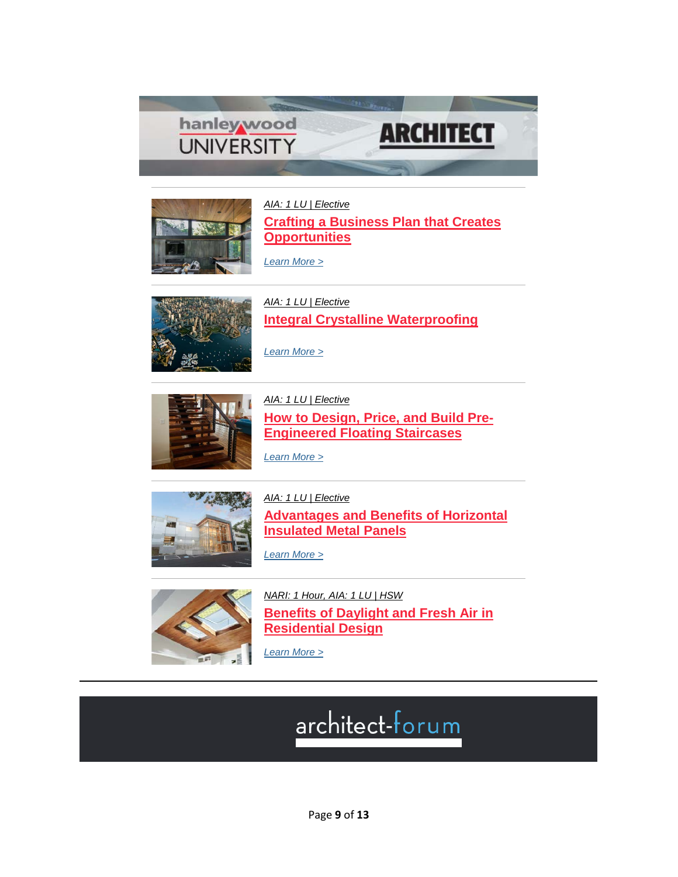



*[AIA: 1 LU | Elective](https://linkprotect.cudasvc.com/url?a=http%3a%2f%2fclick1.communication.hanleywood.com%2fvvpqjpdyfvgnmgkpnkbgpndggdngvmkqcfhfzcjpkrvf_jmvvrfswbvvvtvrsss.html%3fa%3dbesnard%2540dzco.com%26b%3dHWU_EBMGHWUN721155_Update_Newsletter_041619%2b%2b&c=E,1,VDkdNqXzKdZPcL06jxBraW2iz8_p-GbIL3qcJ7sEutySaru_lEOCcwRdrbHpsby6ZRSB1mWeIiLy_fvqleFbcm6x0Mxk8-madDjkmPE-hherUL9H&typo=1)* **[Crafting a Business Plan that Creates](https://linkprotect.cudasvc.com/url?a=http%3a%2f%2fclick1.communication.hanleywood.com%2fzmmgwpvfrmlkdlbpkbjlpkvllvklmdbgcrsrqcwpbzmm_jmvvrfswbvvvtvrsss.html%3fa%3dbesnard%2540dzco.com%26b%3dHWU_EBMGHWUN721155_Update_Newsletter_041619%2b%2b&c=E,1,hQ96D0fXrQb228y9xZ7q4javK8LYJKyomnvHaanK8k8NbYkN_OkIDB4TLBllia94mUO1GJInS1wqGNc-yNd0S5G2-C8tIA4wcx9TCJI-QQ,,&typo=1)  [Opportunities](https://linkprotect.cudasvc.com/url?a=http%3a%2f%2fclick1.communication.hanleywood.com%2fzmmgwpvfrmlkdlbpkbjlpkvllvklmdbgcrsrqcwpbzmm_jmvvrfswbvvvtvrsss.html%3fa%3dbesnard%2540dzco.com%26b%3dHWU_EBMGHWUN721155_Update_Newsletter_041619%2b%2b&c=E,1,hQ96D0fXrQb228y9xZ7q4javK8LYJKyomnvHaanK8k8NbYkN_OkIDB4TLBllia94mUO1GJInS1wqGNc-yNd0S5G2-C8tIA4wcx9TCJI-QQ,,&typo=1)**

*[Learn More >](https://linkprotect.cudasvc.com/url?a=http%3a%2f%2fclick1.communication.hanleywood.com%2fvvfqjpdyfvgnmgkpnkbgpndggdngvmkqcfhfzcjpkrvp_jmvvrfswbvvvtvrsss.html%3fa%3dbesnard%2540dzco.com%26b%3dHWU_EBMGHWUN721155_Update_Newsletter_041619%2b%2b&c=E,1,ujS_--79j1xBI5nyDhBNYg9JbS4f-MgvgiECFc6afTHibvn3e8UFHKBJliHJ_OozSOypaPJfy_d7UWupmnYKX-nA_hHq_wb3oRTbTzq4R4yhAA,,&typo=1)*



*[AIA: 1 LU | Elective](https://linkprotect.cudasvc.com/url?a=http%3a%2f%2fclick1.communication.hanleywood.com%2flmhfwgshmknrqndgrdpngrsnnsrnkqdflmjmclwgdzkj_jmvvrfswbvvvtvrsss.html%3fa%3dbesnard%2540dzco.com%26b%3dHWU_EBMGHWUN721155_Update_Newsletter_041619%2b%2b&c=E,1,nmhP6z6saXtfsyzBT0lwZ-ATF_qKXsQ_j_0rN92iyEM8UAxL3v8ZPPM84qYHRp1F6iZqPM-wdwms35wk-VACenFa0T3Gc8zA0y9cPZ-i5iXKXWAX&typo=1)* **[Integral Crystalline Waterproofing](https://linkprotect.cudasvc.com/url?a=http%3a%2f%2fclick1.communication.hanleywood.com%2fdtsldhzjtpmfsmrhfrkmhfzmmzfmpsrlbtctwbdhrgpm_jmvvrfswbvvvtvrsss.html%3fa%3dbesnard%2540dzco.com%26b%3dHWU_EBMGHWUN721155_Update_Newsletter_041619%2b%2b&c=E,1,ku1ekLy0pR4gEuclP9HxU62M9qS6t3XfwyuMIvz0Xj6v2bKnWbXVZNYDRnXT0SNyMRAjRCmOCP-g-16-mA8hTKoMljLmSNkM5dIpXYRrb4fjfOpKZhxQHgQ,&typo=1)**



*[Learn More >](https://linkprotect.cudasvc.com/url?a=http%3a%2f%2fclick1.communication.hanleywood.com%2fkldbdmwplhsjfsrmjrksmjwsswjshfrbzlvlqzdmrthd_jmvvrfswbvvvtvrsss.html%3fa%3dbesnard%2540dzco.com%26b%3dHWU_EBMGHWUN721155_Update_Newsletter_041619%2b%2b&c=E,1,2rl-IXZxYuwKyXw9eTEkAXeMsqXXQRtg6etf7C-PYFfVbUqOMUEDqfn_z5Oso-pL1JhPHz32PzQTQk3mJlDCdZWxLqBp5LsP2GhdV_7As_1CHbnKRqdk8aeYHv0_&typo=1)*

*[AIA: 1 LU | Elective](https://linkprotect.cudasvc.com/url?a=http%3a%2f%2fclick1.communication.hanleywood.com%2fklvbdmwplhsjfsrmjrksmjwsswjshfrbzlvlqzdmrthp_jmvvrfswbvvvtvrsss.html%3fa%3dbesnard%2540dzco.com%26b%3dHWU_EBMGHWUN721155_Update_Newsletter_041619%2b%2b&c=E,1,maRgdg91P79E7Ue8tjAV0VqCsM6uoLv81fK9kyqrgf6sR3CZWSdGv508Gvy6S46TJuBozYtqMCfcXE4W5OH9D2ZXmrsVQyauwuCMy4D2r7WBVN9O7FVN&typo=1)* **[How to Design, Price, and Build Pre-](https://linkprotect.cudasvc.com/url?a=http%3a%2f%2fclick1.communication.hanleywood.com%2faldvtdrlmkpnspydnyzpdnrpprnpksyvcmhmgctdybdb_jmvvrfswbvvvtvrsss.html%3fa%3dbesnard%2540dzco.com%26b%3dHWU_EBMGHWUN721155_Update_Newsletter_041619%2b%2b&c=E,1,Yiu97xgNkZVe9QOlzxs7kvwyKe0xnQOMstd6VQMWOemnEsEyCR7UED9exDB3ZKdi6vTXgLRQhQArIvibo4je60BuDrdVrBbXGW_W1BUi-whpaQ,,&typo=1)[Engineered Floating Staircases](https://linkprotect.cudasvc.com/url?a=http%3a%2f%2fclick1.communication.hanleywood.com%2faldvtdrlmkpnspydnyzpdnrpprnpksyvcmhmgctdybdb_jmvvrfswbvvvtvrsss.html%3fa%3dbesnard%2540dzco.com%26b%3dHWU_EBMGHWUN721155_Update_Newsletter_041619%2b%2b&c=E,1,Yiu97xgNkZVe9QOlzxs7kvwyKe0xnQOMstd6VQMWOemnEsEyCR7UED9exDB3ZKdi6vTXgLRQhQArIvibo4je60BuDrdVrBbXGW_W1BUi-whpaQ,,&typo=1)**

*[Learn More >](https://linkprotect.cudasvc.com/url?a=http%3a%2f%2fclick1.communication.hanleywood.com%2fichtnvpcyhdwzdbvwbkdvwpddpwdhzbtrymyqrnvbgvy_jmvvrfswbvvvtvrsss.html%3fa%3dbesnard%2540dzco.com%26b%3dHWU_EBMGHWUN721155_Update_Newsletter_041619%2b%2b&c=E,1,027Q513Iddi396gX3qET9KmYBa5z2XMXHy8uSUZoJZFi8LBR-1zk-ZTaJhcO9dssFk0xyc0TQnMrF9ccAf3ZB_tkul8WEveVGsrvyTF9aElVBw,,&typo=1)*



*[AIA: 1 LU | Elective](https://linkprotect.cudasvc.com/url?a=http%3a%2f%2fclick1.communication.hanleywood.com%2fkptbdmwplhsjfsrmjrksmjwsswjshfrbzlvlqzdmrtmm_jmvvrfswbvvvtvrsss.html%3fa%3dbesnard%2540dzco.com%26b%3dHWU_EBMGHWUN721155_Update_Newsletter_041619%2b%2b&c=E,1,s83cjuWVvXzJqHVat31tRvMEJIWCu3tW5zS38x5koDguJNN82l2SCceJz8UNhukOoyk8Mg1p-Iv6LPK3NPc96bFRNAg3xxpD5Oagtnff1EeOPYpWBCG55-71gQ,,&typo=1)*

**[Advantages and Benefits of Horizontal](https://linkprotect.cudasvc.com/url?a=http%3a%2f%2fclick1.communication.hanleywood.com%2ffrycghtydsnwrnbhwbznhwtnntwnsrbcpdjdlpghbqhb_jmvvrfswbvvvtvrsss.html%3fa%3dbesnard%2540dzco.com%26b%3dHWU_EBMGHWUN721155_Update_Newsletter_041619%2b%2b&c=E,1,3LchgfVr_fD_EArdGsTwyswPV4yhI7L7V3e9rJL50E4bUWIbrX6WIx9bc1uqNcZqC1cv3GSjlWERznJwAsFQJmkkAndpnB6ZtdPntRkMffvDG4WKnA,,&typo=1)  [Insulated Metal Panels](https://linkprotect.cudasvc.com/url?a=http%3a%2f%2fclick1.communication.hanleywood.com%2ffrycghtydsnwrnbhwbznhwtnntwnsrbcpdjdlpghbqhb_jmvvrfswbvvvtvrsss.html%3fa%3dbesnard%2540dzco.com%26b%3dHWU_EBMGHWUN721155_Update_Newsletter_041619%2b%2b&c=E,1,3LchgfVr_fD_EArdGsTwyswPV4yhI7L7V3e9rJL50E4bUWIbrX6WIx9bc1uqNcZqC1cv3GSjlWERznJwAsFQJmkkAndpnB6ZtdPntRkMffvDG4WKnA,,&typo=1)**

*[Learn More >](https://linkprotect.cudasvc.com/url?a=http%3a%2f%2fclick1.communication.hanleywood.com%2fummzpwvchqfsmfgwsgbfwsvffvsfqmgzjhnhkjpwgywn_jmvvrfswbvvvtvrsss.html%3fa%3dbesnard%2540dzco.com%26b%3dHWU_EBMGHWUN721155_Update_Newsletter_041619%2b%2b&c=E,1,x7TEOb1UxkDmkx8wKfn8anhO_of4-ZDcUK6WxSI23DQqMsI63BJZxAxqAdYr22Wmp1rcE8OCggR53Iu4TDlWsUi4Q58JJglPTXv1F9vJatis7GuKPmfgoA,,&typo=1)*



*[NARI: 1 Hour, AIA: 1 LU | HSW](https://linkprotect.cudasvc.com/url?a=http%3a%2f%2fclick1.communication.hanleywood.com%2frwvhtnylcrvpwvknpkfvnpyvvypvrwkhscgcbstnkjnt_jmvvrfswbvvvtvrsss.html%3fa%3dbesnard%2540dzco.com%26b%3dHWU_EBMGHWUN721155_Update_Newsletter_041619%2b%2b&c=E,1,D6If9HxFjBHc7Ys_TsluT0ZvEA5yu5lBvAFMQy-gLsE7mABgL3upLwRBDtKppKKUsodCznONGHoj_bW86ICywK8bjP7Gx1jtBYQcikJZng,,&typo=1)* **[Benefits of Daylight and Fresh Air in](https://linkprotect.cudasvc.com/url?a=http%3a%2f%2fclick1.communication.hanleywood.com%2fjfvzqjcnbrmwfmtjwthmjwcmmcwmrftzpbvbkpqjtsjf_jmvvrfswbvvvtvrsss.html%3fa%3dbesnard%2540dzco.com%26b%3dHWU_EBMGHWUN721155_Update_Newsletter_041619%2b%2b&c=E,1,g0bcAW3HCM_PmUrJCoBeGPJ-3GkzDlmsB9psNPIv13QUqEjN-oh4BrPvCVxGr89YNsD6s5OHRjXP4yGilrxCCIgnOqHBRar87RaUmj2M&typo=1)  [Residential Design](https://linkprotect.cudasvc.com/url?a=http%3a%2f%2fclick1.communication.hanleywood.com%2fjfvzqjcnbrmwfmtjwthmjwcmmcwmrftzpbvbkpqjtsjf_jmvvrfswbvvvtvrsss.html%3fa%3dbesnard%2540dzco.com%26b%3dHWU_EBMGHWUN721155_Update_Newsletter_041619%2b%2b&c=E,1,g0bcAW3HCM_PmUrJCoBeGPJ-3GkzDlmsB9psNPIv13QUqEjN-oh4BrPvCVxGr89YNsD6s5OHRjXP4yGilrxCCIgnOqHBRar87RaUmj2M&typo=1)**

*[Learn More >](https://linkprotect.cudasvc.com/url?a=http%3a%2f%2fclick1.communication.hanleywood.com%2fwzwtnvkjdlsbzswvbwqsvbksskbslzwthdgdmhnvwfvj_jmvvrfswbvvvtvrsss.html%3fa%3dbesnard%2540dzco.com%26b%3dHWU_EBMGHWUN721155_Update_Newsletter_041619%2b%2b&c=E,1,LFxLCUBivR56Ndmk05lhTq_FQ6TPWAuSZpRBkWKfIFC00sRBIM1TA2F6vIL_S230C9BfNXyVnXzv8a0iKM8iADE3voZO5FdMBrOxrE4J&typo=1)*

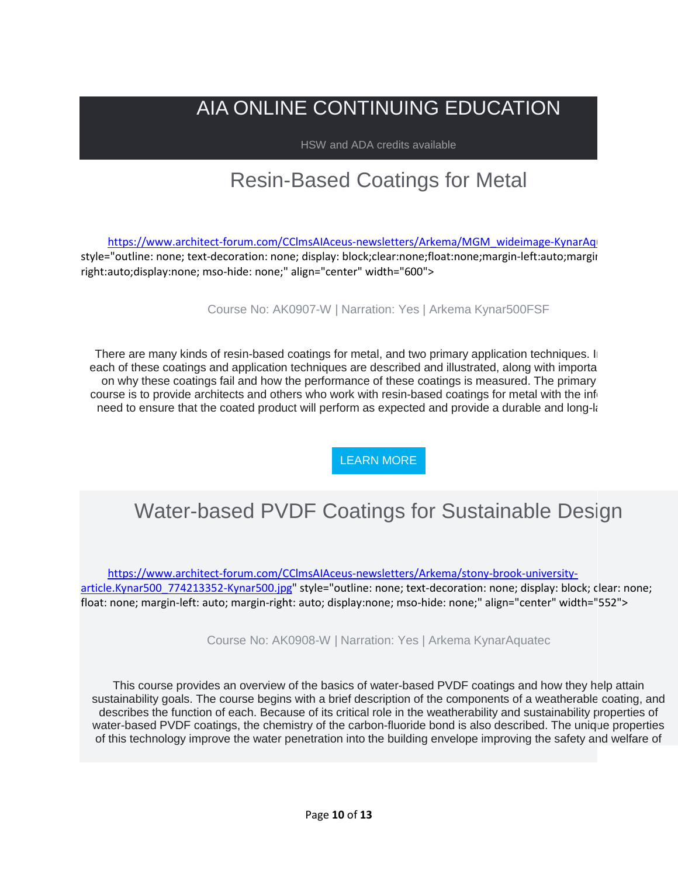# AIA ONLINE CONTINUING EDUCATION

HSW and ADA credits available

# Resin-Based Coatings for Metal

[https://www.architect-forum.com/CClmsAIAceus-newsletters/Arkema/MGM\\_wideimage-KynarAqu](https://www.architect-forum.com/CClmsAIAceus-newsletters/Arkema/MGM_wideimage-KynarAquatec.jpg) style="outline: none; text-decoration: none; display: block;clear:none;float:none;margin-left:auto;margin right:auto;display:none; mso-hide: none;" align="center" width="600">

Course No: AK0907-W | Narration: Yes | Arkema Kynar500FSF

There are many kinds of resin-based coatings for metal, and two primary application techniques. In each of these coatings and application techniques are described and illustrated, along with importa on why these coatings fail and how the performance of these coatings is measured. The primary course is to provide architects and others who work with resin-based coatings for metal with the info need to ensure that the coated product will perform as expected and provide a durable and long-k

[LEARN MORE](https://linkprotect.cudasvc.com/url?a=http%3a%2f%2fnewsletter.architect-forum.com%3a8080%2ft.aspx%3fS%3d1%26ID%3d4663%26NL%3d2%26N%3d1157%26SI%3d2271%26URL%3dhttp%253a%252f%252flms.architect-forum.com%252fsubscribe.php%253fcourse_id%253d265&c=E,1,59aQyvD-Cc6lf6-ajW90NiNTeY5QhQMEvl9U4JBC8rIWK4fhbZ8kUC57w7vgMeo3yOkC7xIInP9Kg4Bel3Tp_sdATbCniWYITMe0Te7WjbiWUSQO7vyBplJ6&typo=1)

# Water-based PVDF Coatings for Sustainable Design

[https://www.architect-forum.com/CClmsAIAceus-newsletters/Arkema/stony-brook-university](https://www.architect-forum.com/CClmsAIAceus-newsletters/Arkema/stony-brook-university-article.Kynar500_774213352-Kynar500.jpg)[article.Kynar500\\_774213352-Kynar500.jpg"](https://www.architect-forum.com/CClmsAIAceus-newsletters/Arkema/stony-brook-university-article.Kynar500_774213352-Kynar500.jpg) style="outline: none; text-decoration: none; display: block; clear: none; float: none; margin-left: auto; margin-right: auto; display:none; mso-hide: none;" align="center" width="552">

Course No: AK0908-W | Narration: Yes | Arkema KynarAquatec

This course provides an overview of the basics of water-based PVDF coatings and how they help attain sustainability goals. The course begins with a brief description of the components of a weatherable coating, and describes the function of each. Because of its critical role in the weatherability and sustainability properties of water-based PVDF coatings, the chemistry of the carbon-fluoride bond is also described. The unique properties of this technology improve the water penetration into the building envelope improving the safety and welfare of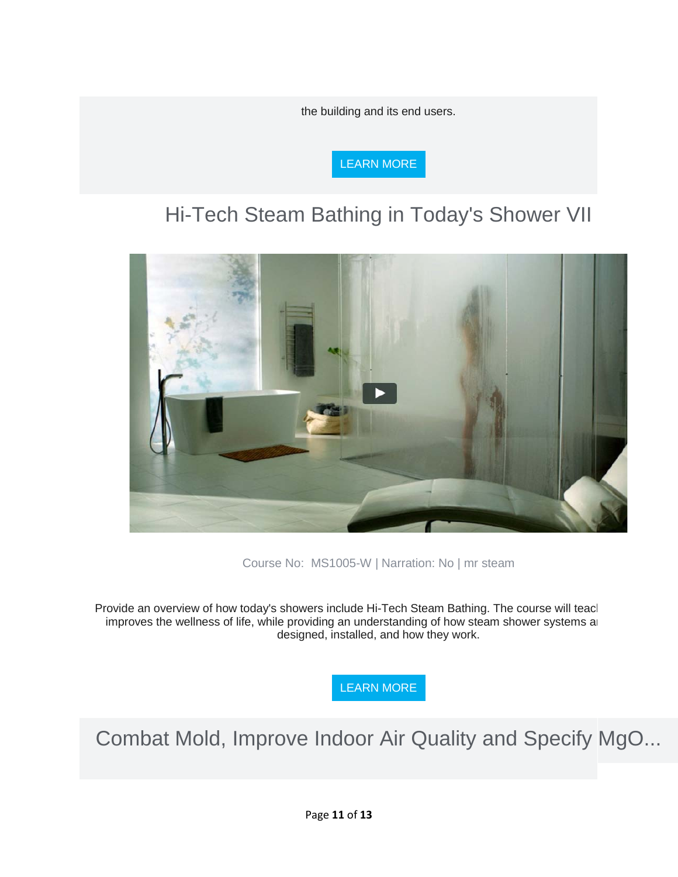the building and its end users.



# Hi-Tech Steam Bathing in Today's Shower VII



Course No: MS1005-W | Narration: No | mr steam

Provide an overview of how today's showers include Hi-Tech Steam Bathing. The course will teacl improves the wellness of life, while providing an understanding of how steam shower systems are designed, installed, and how they work.

[LEARN MORE](https://linkprotect.cudasvc.com/url?a=http%3a%2f%2fnewsletter.architect-forum.com%3a8080%2ft.aspx%3fS%3d1%26ID%3d4663%26NL%3d2%26N%3d1157%26SI%3d2271%26URL%3dhttp%253a%252f%252flms.architect-forum.com%252fsubscribe.php%253fcourse_id%253d254&c=E,1,LhF5I3NcOx9oJ_delKULHe1GZiAPMfwkHwLHFWMrKltxGWBhIa-aF1t08lWhQTc7wBGeoJe9euhYIXuRkH-wQro_bJ6vjqM7th7I9-f97noSm8rljdtZSjGXFCdn&typo=1)

Combat Mold, Improve Indoor Air Quality and Specify MgO...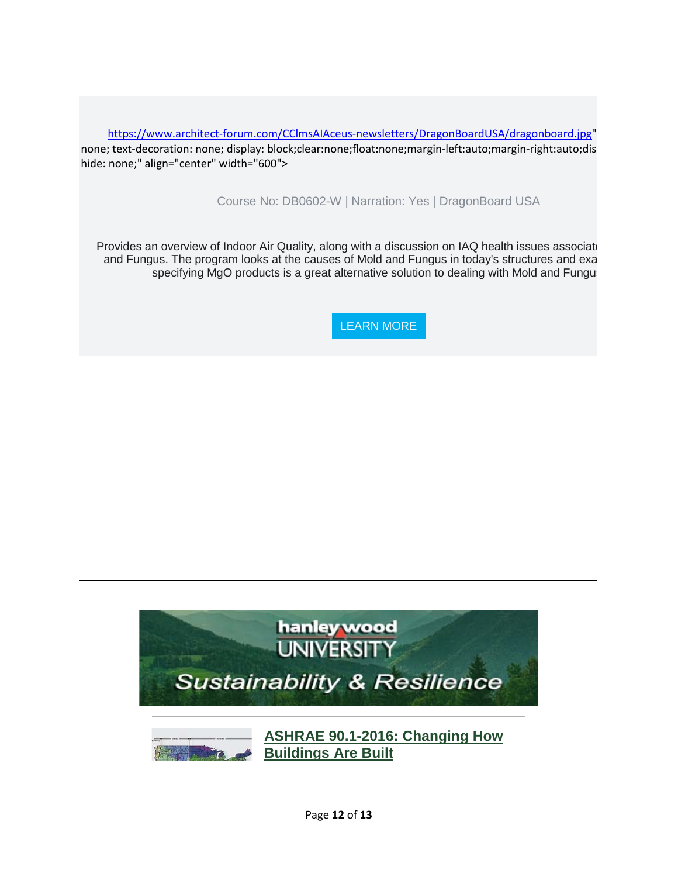[https://www.architect-forum.com/CClmsAIAceus-newsletters/DragonBoardUSA/dragonboard.jpg"](https://www.architect-forum.com/CClmsAIAceus-newsletters/DragonBoardUSA/dragonboard.jpg) none; text-decoration: none; display: block;clear:none;float:none;margin-left:auto;margin-right:auto;disp hide: none;" align="center" width="600">

Course No: DB0602-W | Narration: Yes | DragonBoard USA

Provides an overview of Indoor Air Quality, along with a discussion on IAQ health issues associate and Fungus. The program looks at the causes of Mold and Fungus in today's structures and exa specifying MgO products is a great alternative solution to dealing with Mold and Fungus

[LEARN MORE](https://linkprotect.cudasvc.com/url?a=http%3a%2f%2fnewsletter.architect-forum.com%3a8080%2ft.aspx%3fS%3d1%26ID%3d4663%26NL%3d2%26N%3d1157%26SI%3d2271%26URL%3dhttp%253a%252f%252flms.architect-forum.com%252fsubscribe.php%253fcourse_id%253d256&c=E,1,elEFuzs3f8VtkF_3ffKh3OKl7HAaBxLvxy_Tck87pWlxVUuuhlEFuj4g7-8L_b7WSycZjZrunVYOQhALtScvj0rC5RTwqHx1OKEfZqNtMZyMrW-A_VI,&typo=1)